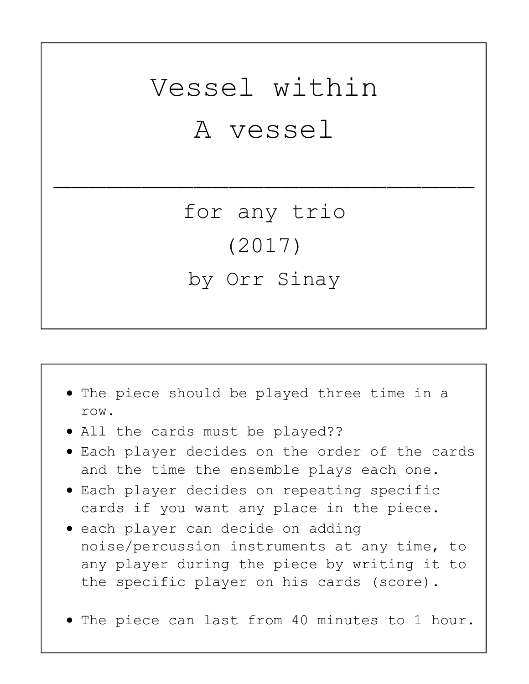## Vessel within A vessel

\_\_\_\_\_\_\_\_\_\_\_\_\_\_\_\_\_\_\_\_\_\_\_\_

for any trio (2017) by Orr Sinay



- each player can decide on adding noise/percussion instruments at any time, to any player during the piece by writing it to the specific player on his cards (score).
- The piece can last from 40 minutes to 1 hour.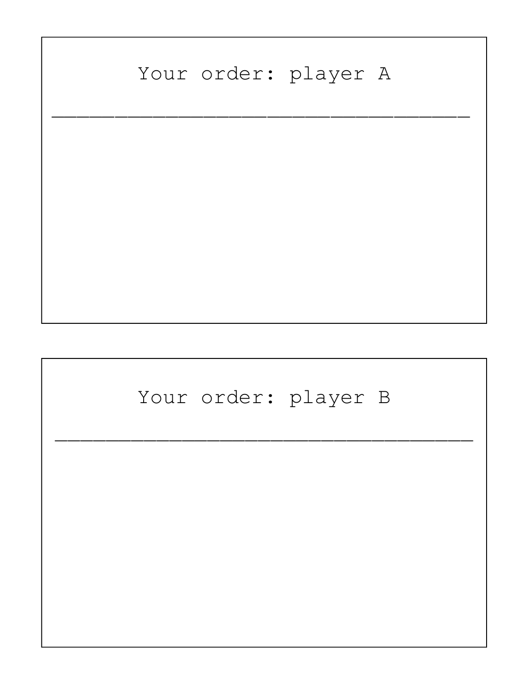## Your order: player A  $\overline{\phantom{a}}$  , and the contract of the contract of the contract of the contract of the contract of the contract of the contract of the contract of the contract of the contract of the contract of the contract of the contrac Your order: player B  $\overline{\phantom{a}}$  , and the contract of the contract of the contract of the contract of the contract of the contract of the contract of the contract of the contract of the contract of the contract of the contract of the contrac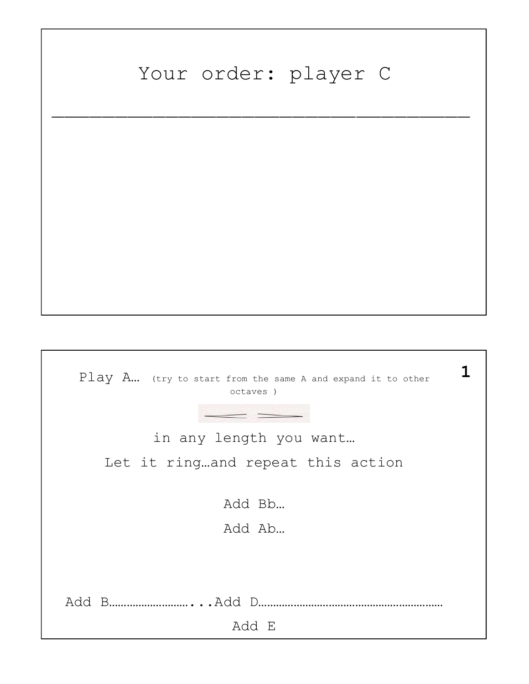## Your order: player C

 $\overline{\phantom{a}}$  , and the contract of the contract of the contract of the contract of the contract of the contract of the contract of the contract of the contract of the contract of the contract of the contract of the contrac

| $Play A$ (try to start from the same A and expand it to other<br>octaves ) | ı |
|----------------------------------------------------------------------------|---|
|                                                                            |   |
| in any length you want                                                     |   |
| Let it ringand repeat this action                                          |   |
|                                                                            |   |
| Add Bb                                                                     |   |
| Add Ab                                                                     |   |
|                                                                            |   |
|                                                                            |   |
|                                                                            |   |
| Add E                                                                      |   |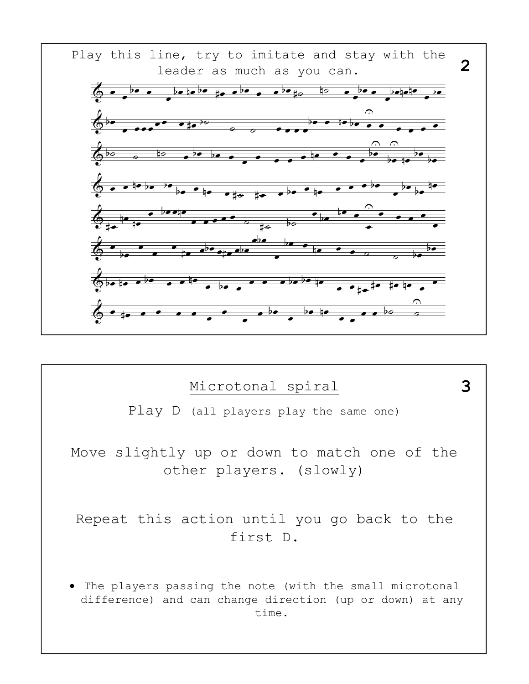

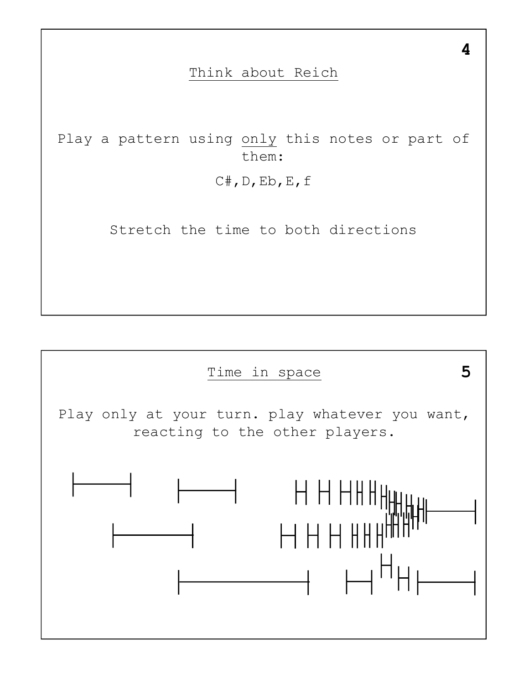## Think about Reich

Play a pattern using only this notes or part of them:

C#,D,Eb,E,f

Stretch the time to both directions



4